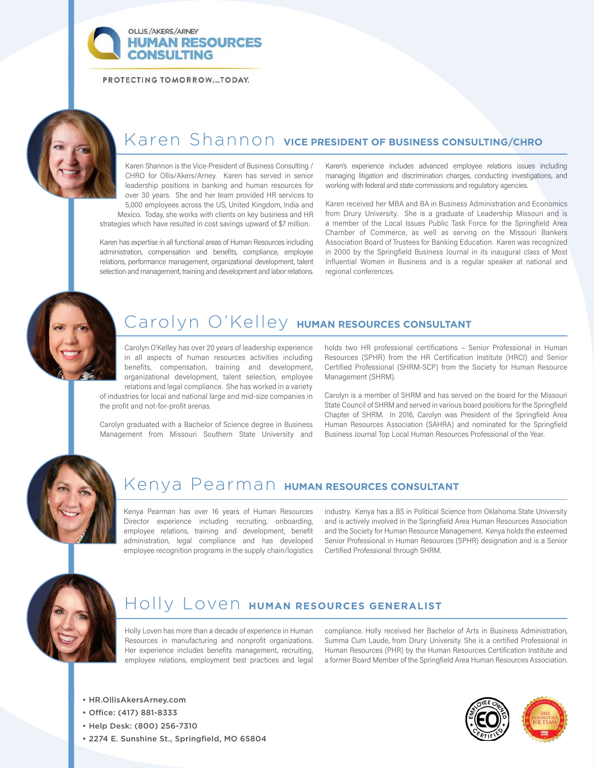**OLLIS/AKERS/ARNEY HUMAN RESOURCES** NSULTING

PROTECTING TOMORROW...TODAY.



# Karen Shannon **VICE PRESIDENT OF BUSINESS CONSULTING/CHRO**

Karen Shannon is the Vice-President of Business Consulting / CHRO for Ollis/Akers/Arney. Karen has served in senior leadership positions in banking and human resources for over 30 years. She and her team provided HR services to 5,000 employees across the US, United Kingdom, India and Mexico. Today, she works with clients on key business and HR strategies which have resulted in cost savings upward of \$7 million.

Karen has expertise in all functional areas of Human Resources including administration, compensation and benefits, compliance, employee relations, performance management, organizational development, talent selection and management, training and development and labor relations.

Karen's experience includes advanced employee relations issues including managing litigation and discrimination charges, conducting investigations, and working with federal and state commissions and regulatory agencies.

Karen received her MBA and BA in Business Administration and Economics from Drury University. She is a graduate of Leadership Missouri and is a member of the Local Issues Public Task Force for the Springfield Area Chamber of Commerce, as well as serving on the Missouri Bankers Association Board of Trustees for Banking Education. Karen was recognized in 2000 by the Springfield Business Journal in its inaugural class of Most Influential Women in Business and is a regular speaker at national and regional conferences.



## Carolyn O'Kelley **HUMAN RESOURCES CONSULTANT**

Carolyn O'Kelley has over 20 years of leadership experience in all aspects of human resources activities including benefits, compensation, training and development, organizational development, talent selection, employee relations and legal compliance. She has worked in a variety

of industries for local and national large and mid-size companies in the profit and not-for-profit arenas.

Carolyn graduated with a Bachelor of Science degree in Business Management from Missouri Southern State University and holds two HR professional certifications – Senior Professional in Human Resources (SPHR) from the HR Certification Institute (HRCI) and Senior Certified Professional (SHRM-SCP) from the Society for Human Resource Management (SHRM).

Carolyn is a member of SHRM and has served on the board for the Missouri State Council of SHRM and served in various board positions for the Springfield Chapter of SHRM. In 2016, Carolyn was President of the Springfield Area Human Resources Association (SAHRA) and nominated for the Springfield Business Journal Top Local Human Resources Professional of the Year.



## Kenya Pearman **HUMAN RESOURCES CONSULTANT**

Kenya Pearman has over 16 years of Human Resources Director experience including recruiting, onboarding, employee relations, training and development, benefit administration, legal compliance and has developed employee recognition programs in the supply chain/logistics industry. Kenya has a BS in Political Science from Oklahoma State University and is actively involved in the Springfield Area Human Resources Association and the Society for Human Resource Management. Kenya holds the esteemed Senior Professional in Human Resources (SPHR) designation and is a Senior Certified Professional through SHRM.



### Holly Loven **HUMAN RESOURCES GENERALIST**

Holly Loven has more than a decade of experience in Human Resources in manufacturing and nonprofit organizations. Her experience includes benefits management, recruiting, employee relations, employment best practices and legal compliance. Holly received her Bachelor of Arts in Business Administration, Summa Cum Laude, from Drury University. She is a certified Professional in Human Resources (PHR) by the Human Resources Certification Institute and a former Board Member of the Springfield Area Human Resources Association.

- HR.OllisAkersArney.com
- Office: (417) 881-8333
- Help Desk: (800) 256-7310
- 2274 E. Sunshine St., Springfield, MO 65804